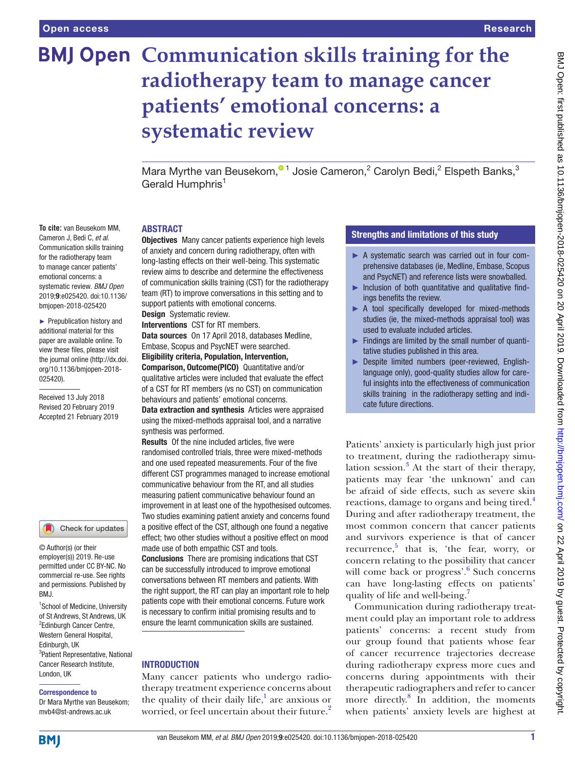**To cite:** van Beusekom MM, Cameron J, Bedi C, *et al*. Communication skills training for the radiotherapy team to manage cancer patients' emotional concerns: a systematic review. *BMJ Open* 2019;9:e025420. doi:10.1136/ bmjopen-2018-025420 ► Prepublication history and additional material for this paper are available online. To view these files, please visit the journal online [\(http://dx.doi.](http://dx.doi.org/10.1136/bmjopen-2018-025420) [org/10.1136/bmjopen-2018-](http://dx.doi.org/10.1136/bmjopen-2018-025420)

[025420\)](http://dx.doi.org/10.1136/bmjopen-2018-025420).

Received 13 July 2018 Revised 20 February 2019 Accepted 21 February 2019

<sup>1</sup>School of Medicine, University of St Andrews, St Andrews, UK <sup>2</sup>Edinburgh Cancer Centre, Western General Hospital, Edinburgh, UK

Check for updates

© Author(s) (or their employer(s)) 2019. Re-use permitted under CC BY-NC. No commercial re-use. See rights and permissions. Published by

3 Patient Representative, National Cancer Research Institute,

# **BMJ Open Communication skills training for the radiotherapy team to manage cancer patients' emotional concerns: a systematic review**

Mara Myrthe van Beusekom[,](http://orcid.org/0000-0002-4536-0558)<sup>01</sup> Josie Cameron,<sup>2</sup> Carolyn Bedi,<sup>2</sup> Elspeth Banks,<sup>3</sup> Gerald Humphris<sup>1</sup>

#### **ABSTRACT**

Objectives Many cancer patients experience high levels of anxiety and concern during radiotherapy, often with long-lasting effects on their well-being. This systematic review aims to describe and determine the effectiveness of communication skills training (CST) for the radiotherapy team (RT) to improve conversations in this setting and to support patients with emotional concerns. Design Systematic review.

Interventions CST for RT members.

Data sources On 17 April 2018, databases Medline, Embase, Scopus and PsycNET were searched.

Eligibility criteria, Population, Intervention,

Comparison, Outcome(PICO) Quantitative and/or qualitative articles were included that evaluate the effect of a CST for RT members (vs no CST) on communication behaviours and patients' emotional concerns.

Data extraction and synthesis Articles were appraised using the mixed-methods appraisal tool, and a narrative synthesis was performed.

Results Of the nine included articles, five were randomised controlled trials, three were mixed-methods and one used repeated measurements. Four of the five different CST programmes managed to increase emotional communicative behaviour from the RT, and all studies measuring patient communicative behaviour found an improvement in at least one of the hypothesised outcomes. Two studies examining patient anxiety and concerns found a positive effect of the CST, although one found a negative effect; two other studies without a positive effect on mood made use of both empathic CST and tools. Conclusions There are promising indications that CST can be successfully introduced to improve emotional

conversations between RT members and patients. With the right support, the RT can play an important role to help patients cope with their emotional concerns. Future work is necessary to confirm initial promising results and to ensure the learnt communication skills are sustained.

# **INTRODUCTION**

Many cancer patients who undergo radiotherapy treatment experience concerns about the quality of their daily life, $\frac{1}{1}$  $\frac{1}{1}$  $\frac{1}{1}$  are anxious or worried, or feel uncertain about their future.<sup>[2](#page-9-1)</sup>

# Strengths and limitations of this study

- ► A systematic search was carried out in four comprehensive databases (ie, Medline, Embase, Scopus and PsycNET) and reference lists were snowballed.
- ► Inclusion of both quantitative and qualitative findings benefits the review.
- ▶ A tool specifically developed for mixed-methods studies (ie, the mixed-methods appraisal tool) was used to evaluate included articles.
- ► Findings are limited by the small number of quantitative studies published in this area.
- ► Despite limited numbers (peer-reviewed, Englishlanguage only), good-quality studies allow for careful insights into the effectiveness of communication skills training in the radiotherapy setting and indicate future directions.

Patients' anxiety is particularly high just prior to treatment, during the radiotherapy simu-lation session.<sup>[3](#page-9-2)</sup> At the start of their therapy, patients may fear 'the unknown' and can be afraid of side effects, such as severe skin reactions, damage to organs and being tired.<sup>4</sup> During and after radiotherapy treatment, the most common concern that cancer patients and survivors experience is that of cancer recurrence,<sup>[5](#page-9-4)</sup> that is, 'the fear, worry, or concern relating to the possibility that cancer will come back or progress'.<sup>[6](#page-9-5)</sup> Such concerns can have long-lasting effects on patients' quality of life and well-being.

Communication during radiotherapy treatment could play an important role to address patients' concerns: a recent study from our group found that patients whose fear of cancer recurrence trajectories decrease during radiotherapy express more cues and concerns during appointments with their therapeutic radiographers and refer to cancer more directly.[8](#page-9-7) In addition, the moments when patients' anxiety levels are highest at

# **BMI**

London, UK

BMJ.

Correspondence to Dr Mara Myrthe van Beusekom; mvb4@st-andrews.ac.uk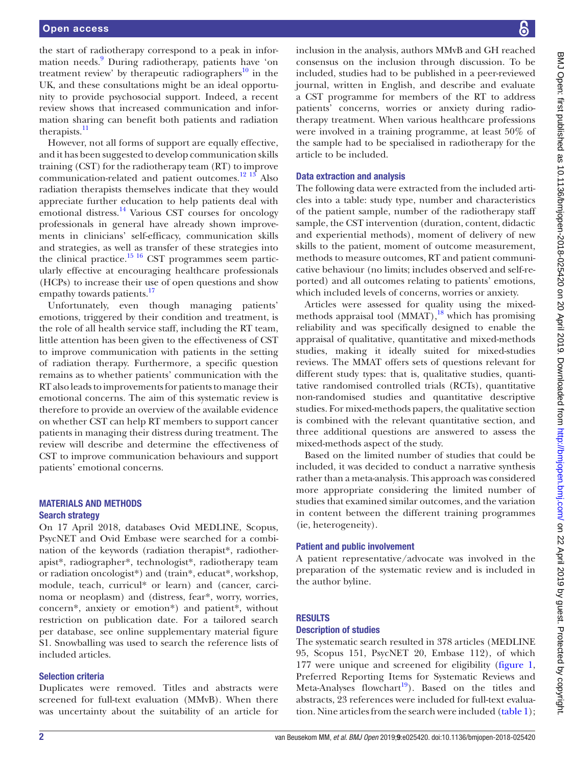the start of radiotherapy correspond to a peak in infor-mation needs.<sup>[9](#page-9-8)</sup> During radiotherapy, patients have 'on treatment review' by therapeutic radiographers<sup>10</sup> in the UK, and these consultations might be an ideal opportunity to provide psychosocial support. Indeed, a recent review shows that increased communication and information sharing can benefit both patients and radiation therapists.<sup>[11](#page-9-10)</sup>

However, not all forms of support are equally effective, and it has been suggested to develop communication skills training (CST) for the radiotherapy team (RT) to improve communication-related and patient outcomes.[12 13](#page-9-11) Also radiation therapists themselves indicate that they would appreciate further education to help patients deal with emotional distress. $^{14}$  $^{14}$  $^{14}$  Various CST courses for oncology professionals in general have already shown improvements in clinicians' self-efficacy, communication skills and strategies, as well as transfer of these strategies into the clinical practice.<sup>[15 16](#page-9-13)</sup> CST programmes seem particularly effective at encouraging healthcare professionals (HCPs) to increase their use of open questions and show empathy towards patients.<sup>[17](#page-9-14)</sup>

Unfortunately, even though managing patients' emotions, triggered by their condition and treatment, is the role of all health service staff, including the RT team, little attention has been given to the effectiveness of CST to improve communication with patients in the setting of radiation therapy. Furthermore, a specific question remains as to whether patients' communication with the RT also leads to improvements for patients to manage their emotional concerns. The aim of this systematic review is therefore to provide an overview of the available evidence on whether CST can help RT members to support cancer patients in managing their distress during treatment. The review will describe and determine the effectiveness of CST to improve communication behaviours and support patients' emotional concerns.

# Materials and methods Search strategy

On 17 April 2018, databases Ovid MEDLINE, Scopus, PsycNET and Ovid Embase were searched for a combination of the keywords (radiation therapist\*, radiotherapist\*, radiographer\*, technologist\*, radiotherapy team or radiation oncologist\*) and (train\*, educat\*, workshop, module, teach, curricul\* or learn) and (cancer, carcinoma or neoplasm) and (distress, fear\*, worry, worries, concern\*, anxiety or emotion\*) and patient\*, without restriction on publication date. For a tailored search per database, see online [supplementary material figure](https://dx.doi.org/10.1136/bmjopen-2018-025420) [S1.](https://dx.doi.org/10.1136/bmjopen-2018-025420) Snowballing was used to search the reference lists of included articles.

# Selection criteria

Duplicates were removed. Titles and abstracts were screened for full-text evaluation (MMvB). When there was uncertainty about the suitability of an article for

inclusion in the analysis, authors MMvB and GH reached consensus on the inclusion through discussion. To be included, studies had to be published in a peer-reviewed journal, written in English, and describe and evaluate a CST programme for members of the RT to address patients' concerns, worries or anxiety during radiotherapy treatment. When various healthcare professions were involved in a training programme, at least 50% of the sample had to be specialised in radiotherapy for the article to be included.

### Data extraction and analysis

The following data were extracted from the included articles into a table: study type, number and characteristics of the patient sample, number of the radiotherapy staff sample, the CST intervention (duration, content, didactic and experiential methods), moment of delivery of new skills to the patient, moment of outcome measurement, methods to measure outcomes, RT and patient communicative behaviour (no limits; includes observed and self-reported) and all outcomes relating to patients' emotions, which included levels of concerns, worries or anxiety.

Articles were assessed for quality using the mixedmethods appraisal tool  $(MMAT)$ ,<sup>18</sup> which has promising reliability and was specifically designed to enable the appraisal of qualitative, quantitative and mixed-methods studies, making it ideally suited for mixed-studies reviews. The MMAT offers sets of questions relevant for different study types: that is, qualitative studies, quantitative randomised controlled trials (RCTs), quantitative non-randomised studies and quantitative descriptive studies. For mixed-methods papers, the qualitative section is combined with the relevant quantitative section, and three additional questions are answered to assess the mixed-methods aspect of the study.

Based on the limited number of studies that could be included, it was decided to conduct a narrative synthesis rather than a meta-analysis. This approach was considered more appropriate considering the limited number of studies that examined similar outcomes, and the variation in content between the different training programmes (ie, heterogeneity).

#### Patient and public involvement

A patient representative/advocate was involved in the preparation of the systematic review and is included in the author byline.

#### **RESULTS**

#### Description of studies

The systematic search resulted in 378 articles (MEDLINE 95, Scopus 151, PsycNET 20, Embase 112), of which 177 were unique and screened for eligibility ([figure](#page-2-0) 1, Preferred Reporting Items for Systematic Reviews and Meta-Analyses flowchart<sup>19</sup>). Based on the titles and abstracts, 23 references were included for full-text evaluation. Nine articles from the search were included ([table](#page-3-0) 1);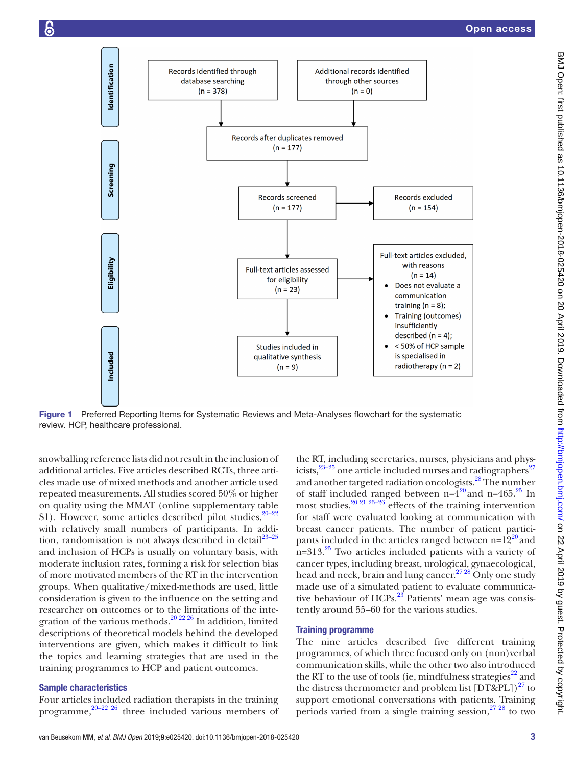

<span id="page-2-0"></span>Figure 1 Preferred Reporting Items for Systematic Reviews and Meta-Analyses flowchart for the systematic review. HCP, healthcare professional.

snowballing reference lists did not result in the inclusion of additional articles. Five articles described RCTs, three articles made use of mixed methods and another article used repeated measurements. All studies scored 50% or higher on quality using the MMAT (online [supplementary table](https://dx.doi.org/10.1136/bmjopen-2018-025420) [S1\)](https://dx.doi.org/10.1136/bmjopen-2018-025420). However, some articles described pilot studies,  $20-22$ with relatively small numbers of participants. In addition, randomisation is not always described in detail $^{23-25}$ and inclusion of HCPs is usually on voluntary basis, with moderate inclusion rates, forming a risk for selection bias of more motivated members of the RT in the intervention groups. When qualitative/mixed-methods are used, little consideration is given to the influence on the setting and researcher on outcomes or to the limitations of the integration of the various methods. $20\frac{20\frac{22}{26}}{h}$  addition, limited descriptions of theoretical models behind the developed interventions are given, which makes it difficult to link the topics and learning strategies that are used in the training programmes to HCP and patient outcomes.

#### Sample characteristics

Four articles included radiation therapists in the training programme,  $20-22$   $26$  three included various members of

the RT, including secretaries, nurses, physicians and physicists, $23-25$  one article included nurses and radiographers<sup>[27](#page-9-19)</sup> and another targeted radiation oncologists.[28](#page-9-20) The number of staff included ranged between  $n=4^{20}$  $n=4^{20}$  $n=4^{20}$  and  $n=465$ .<sup>25</sup> In most studies,  $20\frac{21\ 23-26}{6}$  effects of the training intervention for staff were evaluated looking at communication with breast cancer patients. The number of patient participants included in the articles ranged between  $n=12^{20}$  and  $n=313<sup>25</sup>$  $n=313<sup>25</sup>$  $n=313<sup>25</sup>$  Two articles included patients with a variety of cancer types, including breast, urological, gynaecological, head and neck, brain and lung cancer.<sup>27 28</sup> Only one study made use of a simulated patient to evaluate communicative behaviour of  $HCPs$ .<sup>23</sup> Patients' mean age was consistently around 55–60 for the various studies.

# Training programme

The nine articles described five different training programmes, of which three focused only on (non)verbal communication skills, while the other two also introduced the RT to the use of tools (ie, mindfulness strategies $^{22}$  and the distress thermometer and problem list  $[DT&PL])^{27}$  to support emotional conversations with patients. Training periods varied from a single training session,  $27\frac{28}{10}$  to two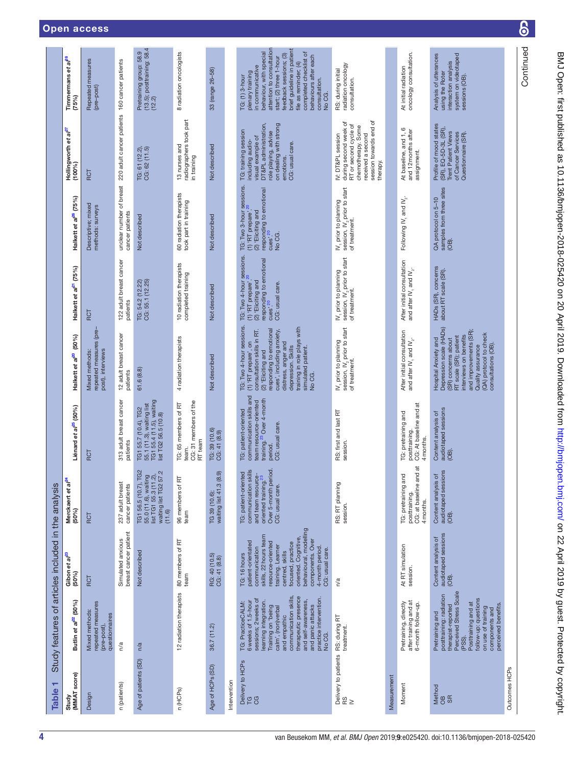| ۳<br><b>Table</b>            | Study features of articles included in the analysis                                                                                                                                                                                                                                    |                                                                                                                                                                                                                                                                            |                                                                                                                                                        |                                                                                                                                                  |                                                                                                                                                                                                                                                                            |                                                                                                                                          |                                                                                                                                    |                                                                                                                                                                          |                                                                                                                                                                                                                                                                                                          |
|------------------------------|----------------------------------------------------------------------------------------------------------------------------------------------------------------------------------------------------------------------------------------------------------------------------------------|----------------------------------------------------------------------------------------------------------------------------------------------------------------------------------------------------------------------------------------------------------------------------|--------------------------------------------------------------------------------------------------------------------------------------------------------|--------------------------------------------------------------------------------------------------------------------------------------------------|----------------------------------------------------------------------------------------------------------------------------------------------------------------------------------------------------------------------------------------------------------------------------|------------------------------------------------------------------------------------------------------------------------------------------|------------------------------------------------------------------------------------------------------------------------------------|--------------------------------------------------------------------------------------------------------------------------------------------------------------------------|----------------------------------------------------------------------------------------------------------------------------------------------------------------------------------------------------------------------------------------------------------------------------------------------------------|
| (MMAT score)<br>Study        | Butlin et al <sup>22</sup> (50%)                                                                                                                                                                                                                                                       | Gibon et al <sup>23</sup><br>(50%)                                                                                                                                                                                                                                         | Merckaert et al <sup>24</sup><br>(50%)                                                                                                                 | Liénard et al <sup>25</sup> (50%)                                                                                                                | Halkett et al <sup>20</sup> (50%)                                                                                                                                                                                                                                          | Halkett et al <sup>21</sup> (75%)                                                                                                        | Halkett et al <sup>26</sup> (75%)                                                                                                  | Hollingworth et al <sup>27</sup><br>$(100\%)$                                                                                                                            | Timmermans et al <sup>28</sup><br>(75%)                                                                                                                                                                                                                                                                  |
| Design                       | repeated measures<br><b>Mixed methods</b><br>questionnaires<br>(pre-post),                                                                                                                                                                                                             | RCT                                                                                                                                                                                                                                                                        | RCT                                                                                                                                                    | RCT                                                                                                                                              | repeated measures (pre-<br>post), interviews<br>Mixed methods:                                                                                                                                                                                                             | RCT                                                                                                                                      | Descriptive; mixed<br>methods: surveys                                                                                             | RCT                                                                                                                                                                      | Repeated measures<br>(pre-post)                                                                                                                                                                                                                                                                          |
| n (patients)                 | n/a                                                                                                                                                                                                                                                                                    | breast cancer patient<br>Simulated anxious                                                                                                                                                                                                                                 | 237 adult breast<br>cancer patients                                                                                                                    | 313 adult breast cancer<br>patients                                                                                                              | 12 adult breast cancer<br>patients                                                                                                                                                                                                                                         | 122 adult breast cancer<br>patients                                                                                                      | unclear number of breast<br>cancer patients                                                                                        | 220 adult cancer patients 160 cancer patients                                                                                                                            |                                                                                                                                                                                                                                                                                                          |
| Age of patients (SD)         | n/a                                                                                                                                                                                                                                                                                    | Not described                                                                                                                                                                                                                                                              | TG <sub>2</sub><br>55.0 (11.6), waiting<br>list TG1 55.3 (11.2),<br>waiting list TG2 57.2<br>TG1 56.5 (10.7),<br>(11.6)                                | 55.1 (11.3), waiting list<br>TG1 55.4 (11.5), waiting<br>list TG2 56.5 (10.8)<br>TG1 55.7 (10.4), TG2                                            | 61.6(8.8)                                                                                                                                                                                                                                                                  | CG: 55.1 (12.25)<br>TG: 54.2 (12.22)                                                                                                     | Not described                                                                                                                      | TG: 61 (12.2),<br>CG: 62 (11.5)                                                                                                                                          | (13.5); posttraining: 58.4<br>(12.2)<br>Pretraining group: 58.9                                                                                                                                                                                                                                          |
| n (HCPs)                     | 12 radiation therapists                                                                                                                                                                                                                                                                | 80 members of RT<br>team                                                                                                                                                                                                                                                   | 96 members of RT<br>team                                                                                                                               | CG: 31 members of the<br>TG: 65 members of RT<br>RT team<br>team.                                                                                | 4 radiation therapists                                                                                                                                                                                                                                                     | 10 radiation therapists<br>completed training                                                                                            | 60 radiation therapists<br>took part in training                                                                                   | radiographers took part<br>13 nurses and<br>in training                                                                                                                  | 8 radiation oncologists                                                                                                                                                                                                                                                                                  |
| Age of HCPs (SD)             | 36.7 (11.2)                                                                                                                                                                                                                                                                            | RG: 40 (10.5)<br>CG: 41 (8.8)                                                                                                                                                                                                                                              | waiting list 41.3 (8.9)<br>TG 39 (10.6);                                                                                                               | TG: 39 (10.6)<br>CG: 41 (8.9)                                                                                                                    | Not described                                                                                                                                                                                                                                                              | Not described                                                                                                                            | Not described                                                                                                                      | Not described                                                                                                                                                            | 33 (range 26-58)                                                                                                                                                                                                                                                                                         |
| Intervention                 |                                                                                                                                                                                                                                                                                        |                                                                                                                                                                                                                                                                            |                                                                                                                                                        |                                                                                                                                                  |                                                                                                                                                                                                                                                                            |                                                                                                                                          |                                                                                                                                    |                                                                                                                                                                          |                                                                                                                                                                                                                                                                                                          |
| Delivery to HCPs<br>ra<br>Ca | communication skills,<br>therapeutic presence<br>practice intervention.<br>sessions; 2 weeks of<br>and self-awareness,<br>learning integration.<br>TG: PracticeCALM:<br>6 weeks of 1.5-hour<br>and panic attacks<br>Training on 'being<br>calm', (non)verbal<br>and empathic<br>No CG. | behavioural, modelling<br>skills, 22 hours team<br>oriented. Cognitive,<br>components. Over<br>patient-orientated<br>resource-oriented<br>focused, practice<br>training. Learner<br>4-month period.<br>communication<br>CG: usual care.<br>centred, skills<br>TG: 16 hours | communication skills<br>Over 5-month period.<br>CG: usual care.<br>hted<br>and team resource-<br>oriented training. <sup>23</sup><br>TG: patient-orier | communication skills and<br>training. <sup>23</sup> Over 4-month<br>team resource-oriented<br>TG: patient-oriented<br>CG: usual care.<br>period. | TG: Two 4-hour sessions.<br>training in role plays with<br>responding to emotional<br>$(1)$ 'RT prepare', on<br>consultation skills in RT.<br>cues', including anxiety,<br>distress, anger and<br>depression. Skills<br>simulated patient.<br>(2) 'Eliciting and<br>No CG. | TG: Two 4-hour sessions.<br>responding to emotional<br>(2) 'Eliciting and<br>(1) 'RT prepare'<br>CG: usual care.<br>cues'. <sup>20</sup> | TG: Two 3-hour sessions.<br>"<br>responding to emotional<br>(2) 'Eliciting and<br>(1) 'RT prepare'<br>cues <sup>20</sup><br>No CG. | visual example of<br>DT&PL administration,<br>on dealing with strong<br>TG: training session<br>role playing, advise<br>including audio-<br>CG: usual care.<br>emotions. | attention to consultation<br>brief guideline in patient<br>completed checklist of<br>behaviour, with special<br>feedback sessions; (3)<br>behaviours after each<br>start; (2) three 1-hour<br>file as reminder; (4)<br>in communicative<br>plenary training<br>TG: (1) 3-hour<br>consultation.<br>No CG. |
|                              | Delivery to patients RS: during RT<br>RS<br>IV                                                                                                                                                                                                                                         | n/a                                                                                                                                                                                                                                                                        | RS: RT planning<br>session.                                                                                                                            | RS: first and last RT<br>session.                                                                                                                | session, IV <sub>2</sub> prior to start<br>of treatment.<br>IV, prior to planning                                                                                                                                                                                          | session, IV <sub>2</sub> prior to start<br>of treatment.<br>IV, prior to planning                                                        | session, IV <sub>2</sub> prior to start<br>of treatment.<br>IV, prior to planning                                                  | session towards end of<br>during second week of<br>RT or second cycle of<br>chemotherapy. Some<br>IV: DT&PL session<br>received a second<br>therapy.                     | radiation oncology<br>RS: during initial<br>consultation.                                                                                                                                                                                                                                                |
| Measurement                  |                                                                                                                                                                                                                                                                                        |                                                                                                                                                                                                                                                                            |                                                                                                                                                        |                                                                                                                                                  |                                                                                                                                                                                                                                                                            |                                                                                                                                          |                                                                                                                                    |                                                                                                                                                                          |                                                                                                                                                                                                                                                                                                          |
| Moment                       | after training and at<br>6-month follow-up.<br>Pretraining, directly                                                                                                                                                                                                                   | At RT simulation<br>session.                                                                                                                                                                                                                                               | and at<br>TG: pretraining and<br>CG: at baseline<br>posttraining.<br>4 months.                                                                         | CG: At baseline and at<br>TG: pretraining and<br>posttraining<br>4 months                                                                        | After initial consultation<br>and after $W_1$ and $W_2$ .                                                                                                                                                                                                                  | After initial consultation<br>and after IV <sub>1</sub> and IV <sub>2</sub> .                                                            | Following IV <sub>1</sub> and IV <sub>2</sub> .                                                                                    | At baseline, and 1, 6<br>and 12 months after<br>assignment.                                                                                                              | oncology consultation.<br>At initial radiation                                                                                                                                                                                                                                                           |
| Method<br>OB<br>SR           | Perceived Stress Scale<br>posttraining: radiation<br>therapist-reported<br>follow-up: questions<br>Posttraining and at<br>perceived benefits<br>on use of training<br>components and<br>Pretraining and<br>(PSS).                                                                      | audiotaped sessions<br>Content analysis of<br>(OB).                                                                                                                                                                                                                        | ions<br>$\mathfrak{h}$<br>Content analysis<br>audiotaped sess<br>(OB)                                                                                  | audiotaped sessions<br>Content analysis of<br>(OB)                                                                                               | Depression scale (HADs)<br>and improvements (SR);<br>(QA) protocol to check<br>interviews on benefits<br>RT scale (SR); patient<br>(SR) concerns about<br>Hospital Anxiety and<br>consultations (OB).<br>Quality assurance                                                 | HADs (SR), concerns<br>about RT scale (SR).                                                                                              | samples from three sites<br>QA protocol on 5-10<br>(OB).                                                                           | Profile of mood states<br>(SR), EQ-5D-3L (SR),<br>Trent Patient Views<br>of Cancer Services<br>Questionnaire (SR).                                                       | Analysis of utterances<br>system on videotaped<br>interaction analysis<br>using the Roter<br>sessions (OB).                                                                                                                                                                                              |
| Outcomes HCPs                |                                                                                                                                                                                                                                                                                        |                                                                                                                                                                                                                                                                            |                                                                                                                                                        |                                                                                                                                                  |                                                                                                                                                                                                                                                                            |                                                                                                                                          |                                                                                                                                    |                                                                                                                                                                          |                                                                                                                                                                                                                                                                                                          |
|                              |                                                                                                                                                                                                                                                                                        |                                                                                                                                                                                                                                                                            |                                                                                                                                                        |                                                                                                                                                  |                                                                                                                                                                                                                                                                            |                                                                                                                                          |                                                                                                                                    |                                                                                                                                                                          | Continued                                                                                                                                                                                                                                                                                                |

<span id="page-3-0"></span>4 van Beusekom MM, *et al*. *BMJ Open* 2019; 9:e025420. doi:10.1136/bmjopen-2018-025420

BMJ Open: first published as 10.1136/bmjopen-2019-025420 on 20 April 2019. Downloaded from mp.//bmjopen.bmj.com/ on 22 April 2019 by guest. Protected by copyright.

BMJ Open: first published as 10.1136/bmjopen-2018-025420 on 20 April 2019. Downloaded from http://bmjopen.bmj.com/ on 22 April 2019 by guest. Protected by copyright.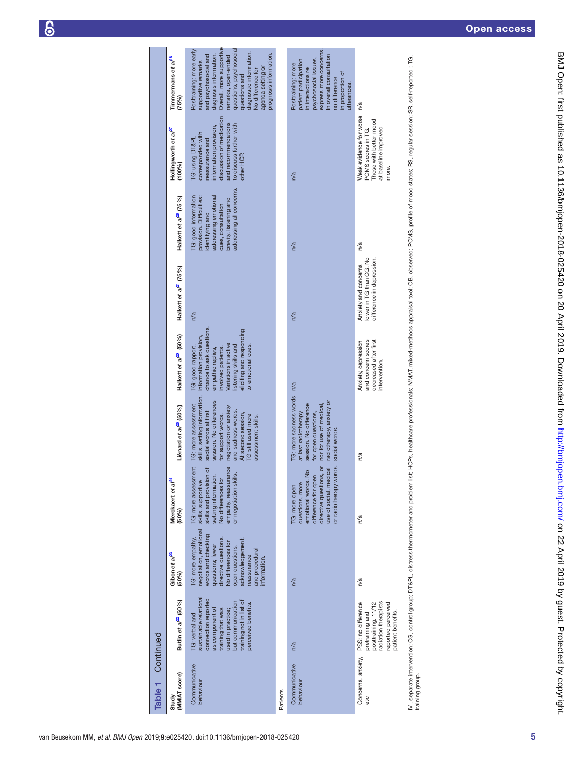| Table <sub>1</sub>         | Continued                                                                                                                                                                                           |                                                                                                                                                                                                                             |                                                                                                                                                                             |                                                                                                                                                                                                                                                       |                                                                                                                                                                                                                                |                                                                             |                                                                                                                                                                                |                                                                                                                                                                                         |                                                                                                                                                                                                                                                                                                       |
|----------------------------|-----------------------------------------------------------------------------------------------------------------------------------------------------------------------------------------------------|-----------------------------------------------------------------------------------------------------------------------------------------------------------------------------------------------------------------------------|-----------------------------------------------------------------------------------------------------------------------------------------------------------------------------|-------------------------------------------------------------------------------------------------------------------------------------------------------------------------------------------------------------------------------------------------------|--------------------------------------------------------------------------------------------------------------------------------------------------------------------------------------------------------------------------------|-----------------------------------------------------------------------------|--------------------------------------------------------------------------------------------------------------------------------------------------------------------------------|-----------------------------------------------------------------------------------------------------------------------------------------------------------------------------------------|-------------------------------------------------------------------------------------------------------------------------------------------------------------------------------------------------------------------------------------------------------------------------------------------------------|
| (MMAT score)<br>Study      | Butlin et a <sup>p2</sup> (50%)                                                                                                                                                                     | Gibon et al <sup>23</sup><br>(50%)                                                                                                                                                                                          | Merckaert et al <sup>24</sup><br>$(50\%)$                                                                                                                                   | Liénard et al <sup>25</sup> (50%)                                                                                                                                                                                                                     | Halkett et al <sup>20</sup> (50%)                                                                                                                                                                                              | Halkett et al <sup>21</sup> (75%)                                           | Halkett et al <sup>26</sup> (75%)                                                                                                                                              | Hollingworth et al <sup>27</sup><br>(100%                                                                                                                                               | Timmermans et al <sup>28</sup><br>(75%)                                                                                                                                                                                                                                                               |
| Communicative<br>behaviour | sustainable relational<br>connection reported<br>training not in list of<br>but communication<br>perceived benefits.<br>as component of<br>training that was<br>used in practice;<br>TG: verbal and | negotiation, emotional<br>words and checking<br>directive questions.<br>TG: more empathy,<br>acknowledgement,<br>No differences for<br>questions; fewer<br>open questions,<br>and procedural<br>reassurance<br>information. | TG: more assessment<br>empathy, reassurance<br>skills and provision of<br>or negotiation skills.<br>setting information.<br>No differences for<br>skills, supportive        | skills, setting information,<br>session. No differences<br>TG: more assessment<br>negotiation or anxiety<br>and sadness words.<br>social words at first<br>At second session,<br>for support words,<br><b>G</b> still used more<br>assessment skills. | chance to ask questions,<br>eliciting and responding<br>information provision,<br>Variations in active<br>istening skills and<br>to emotional cues.<br>TG: good rapport,<br>involved patients.<br>empathic replies,            | n/a                                                                         | addressing all concerns.<br><b>IG:</b> good information<br>addressing emotional<br>provision. Difficulties:<br>brevity, listening and<br>cues, consultation<br>identifying and | discussion of medication<br>and recommendations<br>to discuss further with<br>information provision,<br>corresponded with<br><b>TG: using DT&amp;PL</b><br>eassurance and<br>other HCP. | Overall, more supportive<br>Posttraining: more early<br>questions, psychosocial<br>diagnostic information.<br>prognosis information.<br>and psychosocial and<br>diagnosis information.<br>remarks, open-ended<br>supportive remarks<br>agenda setting or<br><b>Vo difference for</b><br>questions and |
| Patients                   |                                                                                                                                                                                                     |                                                                                                                                                                                                                             |                                                                                                                                                                             |                                                                                                                                                                                                                                                       |                                                                                                                                                                                                                                |                                                                             |                                                                                                                                                                                |                                                                                                                                                                                         |                                                                                                                                                                                                                                                                                                       |
| Communicative<br>behaviour | n/a                                                                                                                                                                                                 | n/a                                                                                                                                                                                                                         | or radiotherapy words.<br>directive questions, or<br>use of social, medical<br>$\frac{1}{2}$<br>difference for oper<br>emotional words.<br>questions, more<br>TG: more open | TG: more sadness words n/a<br>radiotherapy, anxiety or<br>session. No difference<br>nor for use of medical<br>for open questions,<br>at last radiotherapy<br>social words                                                                             |                                                                                                                                                                                                                                | n/a                                                                         | n/a                                                                                                                                                                            | n/a                                                                                                                                                                                     | express more concerns.<br>n overall consultation<br>psychosocial issues,<br>patient participation<br>Posttraining: more<br>n interactions re<br>in proportion of<br>no difference<br>utterances.                                                                                                      |
| Concerns, anxiety,<br>etc  | radiation therapists<br>PSS: no difference<br>posttraining. 11/12<br>reported perceived<br>patient benefits.<br>pretraining and                                                                     | n/a                                                                                                                                                                                                                         | n/a                                                                                                                                                                         | n/a                                                                                                                                                                                                                                                   | decreased after first<br>and concern scores<br>Anxiety, depression<br>intervention.                                                                                                                                            | lower in TG than CG. No<br>difference in depression<br>Anxiety and concerns | n/a                                                                                                                                                                            | Weak evidence for worse<br>Those with better mood<br>at baseline improved<br>POMS scores in TG.<br>more.                                                                                | n/a                                                                                                                                                                                                                                                                                                   |
| training group.            |                                                                                                                                                                                                     |                                                                                                                                                                                                                             |                                                                                                                                                                             |                                                                                                                                                                                                                                                       | IV , separate intervention; CG, control group; DT&PL, distress thermometer and problem inst; HCPs, healthcare professionals; MMAT, mixed-methods appraisal tool; OB, observed; POMS, profile of mood states; RS, regular sessi |                                                                             |                                                                                                                                                                                |                                                                                                                                                                                         |                                                                                                                                                                                                                                                                                                       |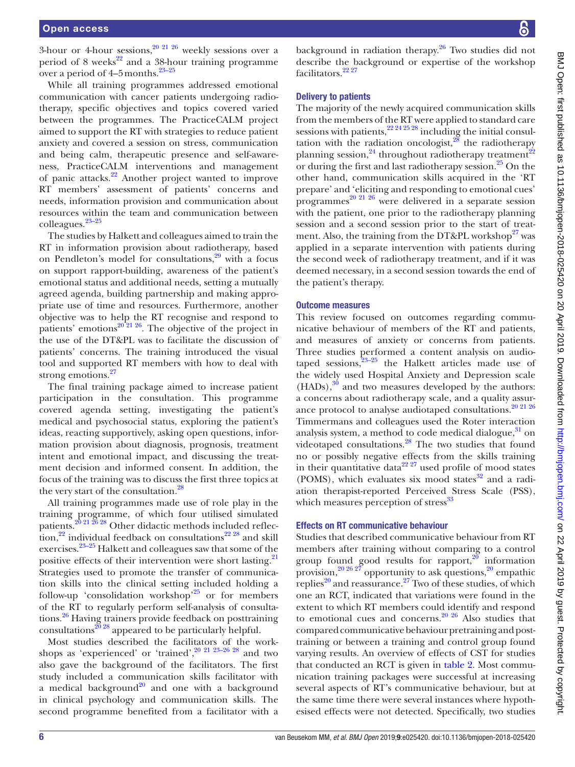3-hour or 4-hour sessions,  $20\frac{21}{26}$  weekly sessions over a period of 8 weeks $^{22}$  and a 38-hour training programme over a period of  $4-5$  months.<sup>23-25</sup>

While all training programmes addressed emotional communication with cancer patients undergoing radiotherapy, specific objectives and topics covered varied between the programmes. The PracticeCALM project aimed to support the RT with strategies to reduce patient anxiety and covered a session on stress, communication and being calm, therapeutic presence and self-awareness, PracticeCALM interventions and management of panic attacks.[22](#page-9-22) Another project wanted to improve RT members' assessment of patients' concerns and needs, information provision and communication about resources within the team and communication between colleagues[.23–25](#page-9-18)

The studies by Halkett and colleagues aimed to train the RT in information provision about radiotherapy, based on Pendleton's model for consultations, $29$  with a focus on support rapport-building, awareness of the patient's emotional status and additional needs, setting a mutually agreed agenda, building partnership and making appropriate use of time and resources. Furthermore, another objective was to help the RT recognise and respond to patients' emotions $20^{\frac{20}{21} \cdot 26}$ . The objective of the project in the use of the DT&PL was to facilitate the discussion of patients' concerns. The training introduced the visual tool and supported RT members with how to deal with strong emotions.<sup>[27](#page-9-19)</sup>

The final training package aimed to increase patient participation in the consultation. This programme covered agenda setting, investigating the patient's medical and psychosocial status, exploring the patient's ideas, reacting supportively, asking open questions, information provision about diagnosis, prognosis, treatment intent and emotional impact, and discussing the treatment decision and informed consent. In addition, the focus of the training was to discuss the first three topics at the very start of the consultation.<sup>[28](#page-9-20)</sup>

All training programmes made use of role play in the training programme, of which four utilised simulated patients.<sup>20 21 26</sup> <sup>28</sup> Other didactic methods included reflec- $\frac{1}{1}$ tion,<sup>22</sup> individual feedback on consultations<sup>[22](#page-9-22) 28</sup> and skill exercises.[23–25](#page-9-18) Halkett and colleagues saw that some of the positive effects of their intervention were short lasting. $^{21}$ Strategies used to promote the transfer of communication skills into the clinical setting included holding a follow-up 'consolidation workshop'<sup>25</sup> or for members of the RT to regularly perform self-analysis of consultations[.26](#page-9-25) Having trainers provide feedback on posttraining consultations<sup>20</sup> 28 appeared to be particularly helpful.

Most studies described the facilitators of the workshops as 'experienced' or 'trained', $20\frac{21}{23}$ -26 28 and two also gave the background of the facilitators. The first study included a communication skills facilitator with a medical background<sup>20</sup> and one with a background in clinical psychology and communication skills. The second programme benefited from a facilitator with a

background in radiation therapy. $26$  Two studies did not describe the background or expertise of the workshop facilitators.<sup>22</sup> <sup>27</sup>

# Delivery to patients

The majority of the newly acquired communication skills from the members of the RT were applied to standard care sessions with patients,  $22\frac{24\frac{25}{28}}{21}$  including the initial consultation with the radiation oncologist, $28$  the radiotherapy planning session,<sup>24</sup> throughout radiotherapy treatment<sup>[22](#page-9-22)</sup> or during the first and last radiotherapy session.<sup>[25](#page-9-21)</sup> On the other hand, communication skills acquired in the 'RT prepare' and 'eliciting and responding to emotional cues' programmes<sup>[20 21 26](#page-9-17)</sup> were delivered in a separate session with the patient, one prior to the radiotherapy planning session and a second session prior to the start of treatment. Also, the training from the DT&PL workshop $27$  was applied in a separate intervention with patients during the second week of radiotherapy treatment, and if it was deemed necessary, in a second session towards the end of the patient's therapy.

# Outcome measures

This review focused on outcomes regarding communicative behaviour of members of the RT and patients, and measures of anxiety or concerns from patients. Three studies performed a content analysis on audiotaped sessions, $2^{3-25}$  the Halkett articles made use of the widely used Hospital Anxiety and Depression scale  $(HADs)$ ,<sup>30</sup> and two measures developed by the authors: a concerns about radiotherapy scale, and a quality assur-ance protocol to analyse audiotaped consultations.<sup>[20 21 26](#page-9-17)</sup> Timmermans and colleagues used the Roter interaction analysis system, a method to code medical dialogue, $31$  on videotaped consultations.<sup>[28](#page-9-20)</sup> The two studies that found no or possibly negative effects from the skills training in their quantitative data<sup>22.27</sup> used profile of mood states (POMS), which evaluates six mood states $32$  and a radiation therapist-reported Perceived Stress Scale (PSS), which measures perception of  $\frac{33}{3}$ 

# Effects on RT communicative behaviour

Studies that described communicative behaviour from RT members after training without comparing to a control group found good results for rapport, $20$  information provision,  $20\frac{26}{27}$  opportunity to ask questions,  $20$  empathic replies<sup>20</sup> and reassurance.<sup>27</sup> Two of these studies, of which one an RCT, indicated that variations were found in the extent to which RT members could identify and respond to emotional cues and concerns.<sup>20</sup>  $^{20}$  Also studies that compared communicative behaviour pretrainingand posttraining or between a training and control group found varying results. An overview of effects of CST for studies that conducted an RCT is given in [table](#page-6-0) 2. Most communication training packages were successful at increasing several aspects of RT's communicative behaviour, but at the same time there were several instances where hypothesised effects were not detected. Specifically, two studies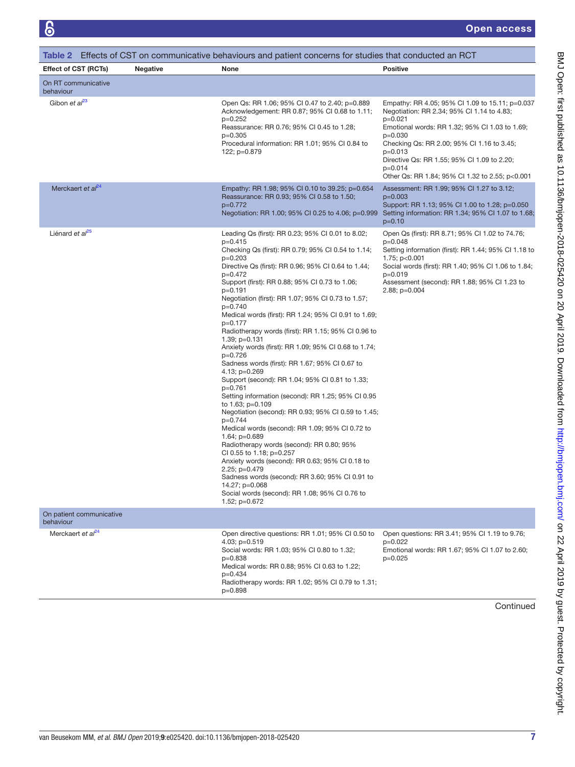<span id="page-6-0"></span>

|                                       |                 | Table 2 Effects of CST on communicative behaviours and patient concerns for studies that conducted an RCT                                                                                                                                                                                                                                                                                                                                                                                                                                                                                                                                                                                                                                                                                                                                                                                                                                                                                                                                                                                                                                                                                         |                                                                                                                                                                                                                                                                                                                                                     |
|---------------------------------------|-----------------|---------------------------------------------------------------------------------------------------------------------------------------------------------------------------------------------------------------------------------------------------------------------------------------------------------------------------------------------------------------------------------------------------------------------------------------------------------------------------------------------------------------------------------------------------------------------------------------------------------------------------------------------------------------------------------------------------------------------------------------------------------------------------------------------------------------------------------------------------------------------------------------------------------------------------------------------------------------------------------------------------------------------------------------------------------------------------------------------------------------------------------------------------------------------------------------------------|-----------------------------------------------------------------------------------------------------------------------------------------------------------------------------------------------------------------------------------------------------------------------------------------------------------------------------------------------------|
| <b>Effect of CST (RCTs)</b>           | <b>Negative</b> | None                                                                                                                                                                                                                                                                                                                                                                                                                                                                                                                                                                                                                                                                                                                                                                                                                                                                                                                                                                                                                                                                                                                                                                                              | <b>Positive</b>                                                                                                                                                                                                                                                                                                                                     |
| On RT communicative<br>behaviour      |                 |                                                                                                                                                                                                                                                                                                                                                                                                                                                                                                                                                                                                                                                                                                                                                                                                                                                                                                                                                                                                                                                                                                                                                                                                   |                                                                                                                                                                                                                                                                                                                                                     |
| Gibon et al <sup>23</sup>             |                 | Open Qs: RR 1.06; 95% CI 0.47 to 2.40; p=0.889<br>Acknowledgement: RR 0.87; 95% CI 0.68 to 1.11;<br>p=0.252<br>Reassurance: RR 0.76; 95% CI 0.45 to 1.28;<br>$p=0.305$<br>Procedural information: RR 1.01; 95% CI 0.84 to<br>122; p=0.879                                                                                                                                                                                                                                                                                                                                                                                                                                                                                                                                                                                                                                                                                                                                                                                                                                                                                                                                                         | Empathy: RR 4.05; 95% CI 1.09 to 15.11; p=0.037<br>Negotiation: RR 2.34; 95% Cl 1.14 to 4.83;<br>$p=0.021$<br>Emotional words: RR 1.32; 95% CI 1.03 to 1.69;<br>$p=0.030$<br>Checking Qs: RR 2.00; 95% CI 1.16 to 3.45;<br>$p=0.013$<br>Directive Qs: RR 1.55; 95% CI 1.09 to 2.20;<br>$p=0.014$<br>Other Qs: RR 1.84; 95% CI 1.32 to 2.55; p<0.001 |
| Merckaert et al <sup>24</sup>         |                 | Empathy: RR 1.98; 95% CI 0.10 to 39.25; p=0.654<br>Reassurance: RR 0.93; 95% CI 0.58 to 1.50;<br>p=0.772<br>Negotiation: RR 1.00; 95% CI 0.25 to 4.06; p=0.999                                                                                                                                                                                                                                                                                                                                                                                                                                                                                                                                                                                                                                                                                                                                                                                                                                                                                                                                                                                                                                    | Assessment: RR 1.99; 95% CI 1.27 to 3.12;<br>$p=0.003$<br>Support: RR 1.13; 95% CI 1.00 to 1.28; p=0.050<br>Setting information: RR 1.34; 95% CI 1.07 to 1.68;<br>$p=0.10$                                                                                                                                                                          |
| Liénard et al <sup>25</sup>           |                 | Leading Qs (first): RR 0.23; 95% CI 0.01 to 8.02;<br>$p=0.415$<br>Checking Qs (first): RR 0.79; 95% CI 0.54 to 1.14;<br>$p=0.203$<br>Directive Qs (first): RR 0.96; 95% CI 0.64 to 1.44;<br>$p=0.472$<br>Support (first): RR 0.88; 95% CI 0.73 to 1.06;<br>p=0.191<br>Negotiation (first): RR 1.07; 95% CI 0.73 to 1.57;<br>p=0.740<br>Medical words (first): RR 1.24; 95% CI 0.91 to 1.69;<br>p=0.177<br>Radiotherapy words (first): RR 1.15; 95% CI 0.96 to<br>1.39; $p=0.131$<br>Anxiety words (first): RR 1.09; 95% CI 0.68 to 1.74;<br>p=0.726<br>Sadness words (first): RR 1.67; 95% CI 0.67 to<br>4.13; $p=0.269$<br>Support (second): RR 1.04; 95% CI 0.81 to 1.33;<br>$p=0.761$<br>Setting information (second): RR 1.25; 95% CI 0.95<br>to 1.63; p=0.109<br>Negotiation (second): RR 0.93; 95% CI 0.59 to 1.45;<br>p=0.744<br>Medical words (second): RR 1.09; 95% CI 0.72 to<br>1.64; $p=0.689$<br>Radiotherapy words (second): RR 0.80; 95%<br>CI 0.55 to 1.18; p=0.257<br>Anxiety words (second): RR 0.63; 95% CI 0.18 to<br>2.25; p=0.479<br>Sadness words (second): RR 3.60; 95% CI 0.91 to<br>14.27; p=0.068<br>Social words (second): RR 1.08; 95% CI 0.76 to<br>1.52; $p=0.672$ | Open Qs (first): RR 8.71; 95% CI 1.02 to 74.76;<br>$p=0.048$<br>Setting information (first): RR 1.44; 95% CI 1.18 to<br>1.75; $p<0.001$<br>Social words (first): RR 1.40; 95% CI 1.06 to 1.84;<br>$p=0.019$<br>Assessment (second): RR 1.88; 95% CI 1.23 to<br>2.88; p=0.004                                                                        |
| On patient communicative<br>behaviour |                 |                                                                                                                                                                                                                                                                                                                                                                                                                                                                                                                                                                                                                                                                                                                                                                                                                                                                                                                                                                                                                                                                                                                                                                                                   |                                                                                                                                                                                                                                                                                                                                                     |
| Merckaert et al <sup>24</sup>         |                 | Open directive questions: RR 1.01; 95% CI 0.50 to<br>4.03; $p=0.519$<br>Social words: RR 1.03; 95% CI 0.80 to 1.32;<br>$p=0.838$<br>Medical words: RR 0.88; 95% CI 0.63 to 1.22;<br>$p=0.434$<br>Radiotherapy words: RR 1.02; 95% CI 0.79 to 1.31;<br>p=0.898                                                                                                                                                                                                                                                                                                                                                                                                                                                                                                                                                                                                                                                                                                                                                                                                                                                                                                                                     | Open questions: RR 3.41; 95% CI 1.19 to 9.76;<br>$p=0.022$<br>Emotional words: RR 1.67; 95% Cl 1.07 to 2.60;<br>$p=0.025$                                                                                                                                                                                                                           |

Continued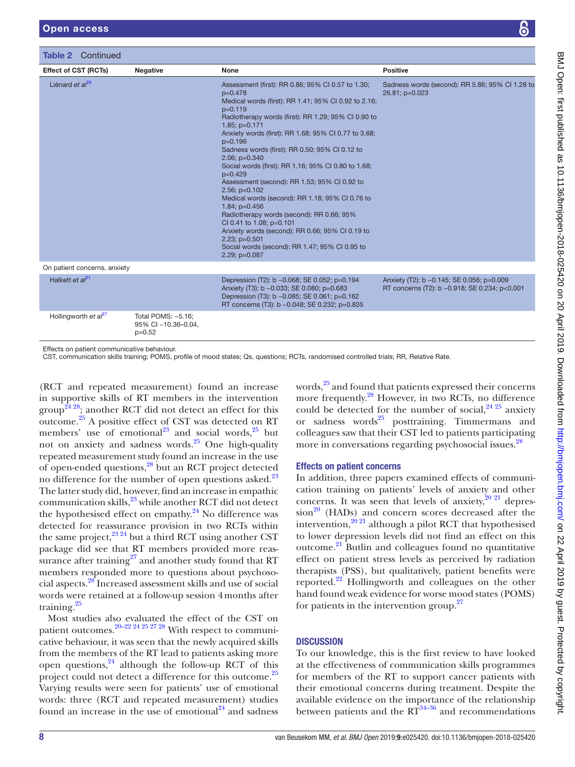Table 2 Continued

| Liénard et al <sup>25</sup>  |                                                       | Assessment (first): RR 0.86; 95% CI 0.57 to 1.30;<br>$p=0.478$                                                                                                                             | Sadness words (second): RR 5.86; 95% Cl 1.28 to<br>26.81; p=0.023                          |
|------------------------------|-------------------------------------------------------|--------------------------------------------------------------------------------------------------------------------------------------------------------------------------------------------|--------------------------------------------------------------------------------------------|
|                              |                                                       | Medical words (first): RR 1.41; 95% CI 0.92 to 2.16;<br>$p=0.119$                                                                                                                          |                                                                                            |
|                              |                                                       | Radiotherapy words (first): RR 1.29; 95% CI 0.90 to                                                                                                                                        |                                                                                            |
|                              |                                                       | $1.85: p=0.171$<br>Anxiety words (first): RR 1.68; 95% CI 0.77 to 3.68;<br>$p=0.196$                                                                                                       |                                                                                            |
|                              |                                                       | Sadness words (first): RR 0.50; 95% CI 0.12 to<br>$2.06; p=0.340$                                                                                                                          |                                                                                            |
|                              |                                                       | Social words (first): RR 1.16; 95% CI 0.80 to 1.68;<br>$p=0.429$                                                                                                                           |                                                                                            |
|                              |                                                       | Assessment (second): RR 1.53; 95% CI 0.92 to                                                                                                                                               |                                                                                            |
|                              |                                                       | $2.56$ ; $p=0.102$<br>Medical words (second): RR 1.18; 95% CI 0.76 to                                                                                                                      |                                                                                            |
|                              |                                                       | $1.84$ ; $p=0.456$<br>Radiotherapy words (second): RR 0.66; 95%                                                                                                                            |                                                                                            |
|                              |                                                       | CI 0.41 to 1.08; p=0.101<br>Anxiety words (second): RR 0.66; 95% CI 0.19 to                                                                                                                |                                                                                            |
|                              |                                                       | $2.23$ ; $p=0.501$<br>Social words (second): RR 1.47; 95% CI 0.95 to                                                                                                                       |                                                                                            |
|                              |                                                       | $2.29; p=0.087$                                                                                                                                                                            |                                                                                            |
| On patient concerns, anxiety |                                                       |                                                                                                                                                                                            |                                                                                            |
| Halkett et $al^{21}$         |                                                       | Depression (T2): b -0.068; SE 0.052; p=0.194<br>Anxiety (T3): b -0.033; SE 0.080; p=0.683<br>Depression (T3): b -0.085; SE 0.061; p=0.162<br>RT concerns (T3): b -0.048; SE 0.232; p=0.835 | Anxiety (T2): b -0.145; SE 0.056; p=0.009<br>RT concerns (T2): b -0.918; SE 0.234; p<0.001 |
| Hollingworth et $a^{27}$     | Total POMS: -5.16;<br>95% CI -10.36-0.04,<br>$p=0.52$ |                                                                                                                                                                                            |                                                                                            |

Effect of CST (RCTs) Negative None Positive

(RCT and repeated measurement) found an increase in supportive skills of RT members in the intervention group<sup>24 28</sup>; another RCT did not detect an effect for this outcome[.25](#page-9-21) A positive effect of CST was detected on RT members' use of emotional<sup>[23](#page-9-18)</sup> and social words, $25$  but not on anxiety and sadness words.[25](#page-9-21) One high-quality repeated measurement study found an increase in the use of open-ended questions,[28](#page-9-20) but an RCT project detected no difference for the number of open questions asked.<sup>[23](#page-9-18)</sup> The latter study did, however, find an increase in empathic communication skills,<sup>23</sup> while another RCT did not detect the hypothesised effect on empathy. $24$  No difference was detected for reassurance provision in two RCTs within the same project, $^{23\,24}$  but a third RCT using another CST package did see that RT members provided more reassurance after training<sup>27</sup> and another study found that RT members responded more to questions about psychosocial aspects[.28](#page-9-20) Increased assessment skills and use of social words were retained at a follow-up session 4months after training.<sup>[25](#page-9-21)</sup>

Most studies also evaluated the effect of the CST on patient outcomes.<sup>20–22 24 25 27</sup> 28 With respect to communicative behaviour, it was seen that the newly acquired skills from the members of the RT lead to patients asking more open questions,  $24$  although the follow-up RCT of this project could not detect a difference for this outcome.<sup>25</sup> Varying results were seen for patients' use of emotional words: three (RCT and repeated measurement) studies found an increase in the use of emotional $^{24}$  $^{24}$  $^{24}$  and sadness

words,<sup>25</sup> and found that patients expressed their concerns more frequently[.28](#page-9-20) However, in two RCTs, no difference could be detected for the number of social,  $2425$  anxiety or sadness words<sup>[25](#page-9-21)</sup> posttraining. Timmermans and colleagues saw that their CST led to patients participating more in conversations regarding psychosocial issues.<sup>[28](#page-9-20)</sup>

#### Effects on patient concerns

In addition, three papers examined effects of communication training on patients' levels of anxiety and other concerns. It was seen that levels of anxiety,  $20\frac{2}{1}$  depres $sion<sup>20</sup>$  (HADs) and concern scores decreased after the intervention, $2^{(0)}$ <sup>21</sup> although a pilot RCT that hypothesised to lower depression levels did not find an effect on this outcome.[21](#page-9-24) Butlin and colleagues found no quantitative effect on patient stress levels as perceived by radiation therapists (PSS), but qualitatively, patient benefits were reported.[22](#page-9-22) Hollingworth and colleagues on the other hand found weak evidence for worse mood states (POMS) for patients in the intervention group.<sup>27</sup>

# **DISCUSSION**

To our knowledge, this is the first review to have looked at the effectiveness of communication skills programmes for members of the RT to support cancer patients with their emotional concerns during treatment. Despite the available evidence on the importance of the relationship between patients and the  $RT^{34-36}$  and recommendations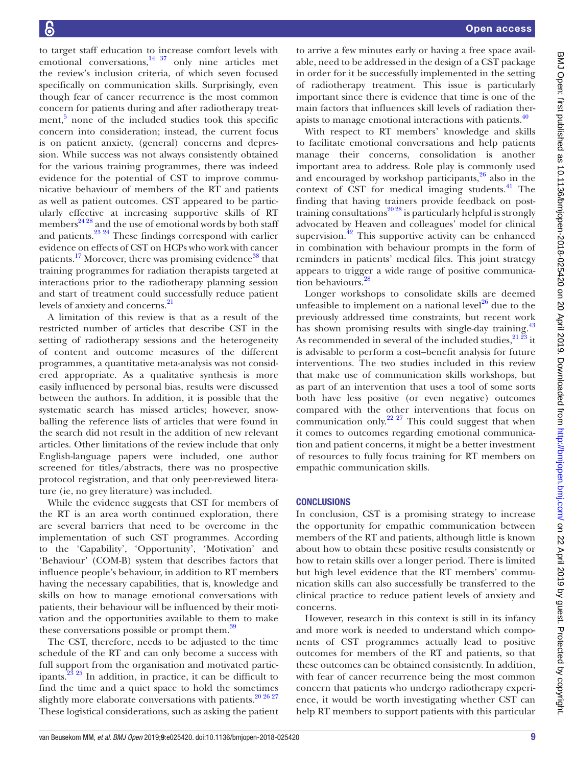to target staff education to increase comfort levels with emotional conversations, $14 \frac{37}{20}$  only nine articles met the review's inclusion criteria, of which seven focused specifically on communication skills. Surprisingly, even though fear of cancer recurrence is the most common concern for patients during and after radiotherapy treat-ment,<sup>[5](#page-9-4)</sup> none of the included studies took this specific concern into consideration; instead, the current focus is on patient anxiety, (general) concerns and depression. While success was not always consistently obtained for the various training programmes, there was indeed evidence for the potential of CST to improve communicative behaviour of members of the RT and patients as well as patient outcomes. CST appeared to be particularly effective at increasing supportive skills of RT members $^{24\,28}$  and the use of emotional words by both staff and patients.<sup>23 24</sup> These findings correspond with earlier evidence on effects of CST on HCPs who work with cancer patients.<sup>[17](#page-9-14)</sup> Moreover, there was promising evidence<sup>38</sup> that training programmes for radiation therapists targeted at interactions prior to the radiotherapy planning session and start of treatment could successfully reduce patient levels of anxiety and concerns.<sup>[21](#page-9-24)</sup>

A limitation of this review is that as a result of the restricted number of articles that describe CST in the setting of radiotherapy sessions and the heterogeneity of content and outcome measures of the different programmes, a quantitative meta-analysis was not considered appropriate. As a qualitative synthesis is more easily influenced by personal bias, results were discussed between the authors. In addition, it is possible that the systematic search has missed articles; however, snowballing the reference lists of articles that were found in the search did not result in the addition of new relevant articles. Other limitations of the review include that only English-language papers were included, one author screened for titles/abstracts, there was no prospective protocol registration, and that only peer-reviewed literature (ie, no grey literature) was included.

While the evidence suggests that CST for members of the RT is an area worth continued exploration, there are several barriers that need to be overcome in the implementation of such CST programmes. According to the 'Capability', 'Opportunity', 'Motivation' and 'Behaviour' (COM-B) system that describes factors that influence people's behaviour, in addition to RT members having the necessary capabilities, that is, knowledge and skills on how to manage emotional conversations with patients, their behaviour will be influenced by their motivation and the opportunities available to them to make these conversations possible or prompt them.<sup>39</sup>

The CST, therefore, needs to be adjusted to the time schedule of the RT and can only become a success with full support from the organisation and motivated participants[.23 25](#page-9-18) In addition, in practice, it can be difficult to find the time and a quiet space to hold the sometimes slightly more elaborate conversations with patients. $20\,20\,26\,27$ These logistical considerations, such as asking the patient

to arrive a few minutes early or having a free space available, need to be addressed in the design of a CST package in order for it be successfully implemented in the setting of radiotherapy treatment. This issue is particularly important since there is evidence that time is one of the main factors that influences skill levels of radiation ther-apists to manage emotional interactions with patients.<sup>[40](#page-10-2)</sup>

With respect to RT members' knowledge and skills to facilitate emotional conversations and help patients manage their concerns, consolidation is another important area to address. Role play is commonly used and encouraged by workshop participants, $^{26}$  $^{26}$  $^{26}$  also in the context of CST for medical imaging students.<sup>41</sup> The finding that having trainers provide feedback on posttraining consultations<sup>2028</sup> is particularly helpful is strongly advocated by Heaven and colleagues' model for clinical supervision. $^{42}$  This supportive activity can be enhanced in combination with behaviour prompts in the form of reminders in patients' medical files. This joint strategy appears to trigger a wide range of positive communication behaviours.<sup>28</sup>

Longer workshops to consolidate skills are deemed unfeasible to implement on a national level<sup>26</sup> due to the previously addressed time constraints, but recent work has shown promising results with single-day training.<sup>[43](#page-10-5)</sup> As recommended in several of the included studies,  $21\overline{23}$  it is advisable to perform a cost–benefit analysis for future interventions. The two studies included in this review that make use of communication skills workshops, but as part of an intervention that uses a tool of some sorts both have less positive (or even negative) outcomes compared with the other interventions that focus on communication only.<sup>[22 27](#page-9-22)</sup> This could suggest that when it comes to outcomes regarding emotional communication and patient concerns, it might be a better investment of resources to fully focus training for RT members on empathic communication skills.

#### **CONCLUSIONS**

In conclusion, CST is a promising strategy to increase the opportunity for empathic communication between members of the RT and patients, although little is known about how to obtain these positive results consistently or how to retain skills over a longer period. There is limited but high level evidence that the RT members' communication skills can also successfully be transferred to the clinical practice to reduce patient levels of anxiety and concerns.

However, research in this context is still in its infancy and more work is needed to understand which components of CST programmes actually lead to positive outcomes for members of the RT and patients, so that these outcomes can be obtained consistently. In addition, with fear of cancer recurrence being the most common concern that patients who undergo radiotherapy experience, it would be worth investigating whether CST can help RT members to support patients with this particular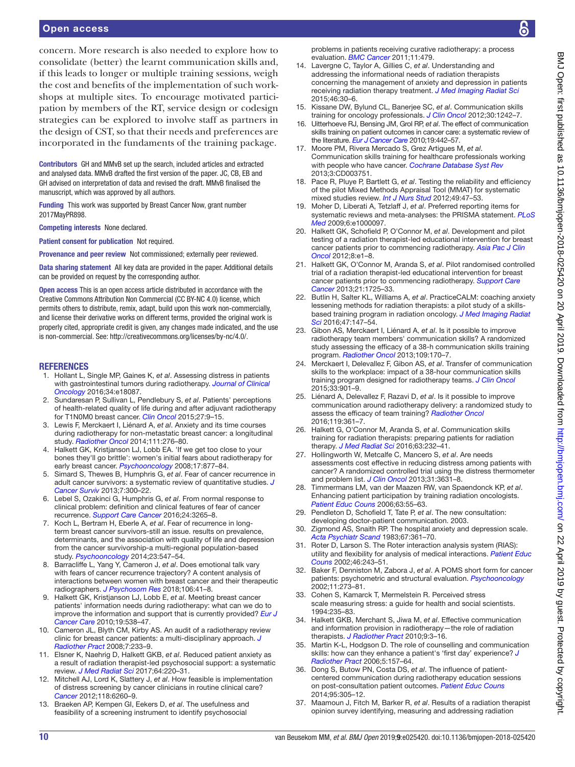concern. More research is also needed to explore how to consolidate (better) the learnt communication skills and, if this leads to longer or multiple training sessions, weigh the cost and benefits of the implementation of such workshops at multiple sites. To encourage motivated participation by members of the RT, service design or codesign strategies can be explored to involve staff as partners in the design of CST, so that their needs and preferences are incorporated in the fundaments of the training package.

Contributors GH and MMvB set up the search, included articles and extracted and analysed data. MMvB drafted the first version of the paper. JC, CB, EB and GH advised on interpretation of data and revised the draft. MMvB finalised the manuscript, which was approved by all authors.

Funding This work was supported by Breast Cancer Now, grant number 2017MayPR898.

Competing interests None declared.

Patient consent for publication Not required.

Provenance and peer review Not commissioned; externally peer reviewed.

Data sharing statement All key data are provided in the paper. Additional details can be provided on request by the corresponding author.

Open access This is an open access article distributed in accordance with the Creative Commons Attribution Non Commercial (CC BY-NC 4.0) license, which permits others to distribute, remix, adapt, build upon this work non-commercially, and license their derivative works on different terms, provided the original work is properly cited, appropriate credit is given, any changes made indicated, and the use is non-commercial. See: <http://creativecommons.org/licenses/by-nc/4.0/>.

#### **REFERENCES**

- <span id="page-9-0"></span>1. Hollant L, Single MP, Gaines K, *et al*. Assessing distress in patients with gastrointestinal tumors during radiotherapy. *[Journal of Clinical](http://dx.doi.org/10.1200/JCO.2016.34.15_suppl.e18087)  [Oncology](http://dx.doi.org/10.1200/JCO.2016.34.15_suppl.e18087)* 2016;34:e18087.
- <span id="page-9-1"></span>2. Sundaresan P, Sullivan L, Pendlebury S, *et al*. Patients' perceptions of health-related quality of life during and after adjuvant radiotherapy for T1N0M0 breast cancer. *[Clin Oncol](http://dx.doi.org/10.1016/j.clon.2014.09.007)* 2015;27:9–15.
- <span id="page-9-2"></span>3. Lewis F, Merckaert I, Liénard A, *et al*. Anxiety and its time courses during radiotherapy for non-metastatic breast cancer: a longitudinal study. *[Radiother Oncol](http://dx.doi.org/10.1016/j.radonc.2014.03.016)* 2014;111:276–80.
- <span id="page-9-3"></span>4. Halkett GK, Kristjanson LJ, Lobb EA. 'If we get too close to your bones they'll go brittle': women's initial fears about radiotherapy for early breast cancer. *[Psychooncology](http://dx.doi.org/10.1002/pon.1298)* 2008;17:877–84.
- <span id="page-9-4"></span>5. Simard S, Thewes B, Humphris G, *et al*. Fear of cancer recurrence in adult cancer survivors: a systematic review of quantitative studies. *[J](http://dx.doi.org/10.1007/s11764-013-0272-z)  [Cancer Surviv](http://dx.doi.org/10.1007/s11764-013-0272-z)* 2013;7:300–22.
- <span id="page-9-5"></span>6. Lebel S, Ozakinci G, Humphris G, *et al*. From normal response to clinical problem: definition and clinical features of fear of cancer recurrence. *[Support Care Cancer](http://dx.doi.org/10.1007/s00520-016-3272-5)* 2016;24:3265–8.
- <span id="page-9-6"></span>7. Koch L, Bertram H, Eberle A, *et al*. Fear of recurrence in longterm breast cancer survivors-still an issue. results on prevalence, determinants, and the association with quality of life and depression from the cancer survivorship-a multi-regional population-based study. *[Psychooncology](http://dx.doi.org/10.1002/pon.3452)* 2014;23:547–54.
- <span id="page-9-7"></span>8. Barracliffe L, Yang Y, Cameron J, *et al*. Does emotional talk vary with fears of cancer recurrence trajectory? A content analysis of interactions between women with breast cancer and their therapeutic radiographers. *[J Psychosom Res](http://dx.doi.org/10.1016/j.jpsychores.2018.01.004)* 2018;106:41–8.
- <span id="page-9-8"></span>9. Halkett GK, Kristjanson LJ, Lobb E, *et al*. Meeting breast cancer patients' information needs during radiotherapy: what can we do to improve the information and support that is currently provided? *[Eur J](http://dx.doi.org/10.1111/j.1365-2354.2009.01090.x)  [Cancer Care](http://dx.doi.org/10.1111/j.1365-2354.2009.01090.x)* 2010;19:538–47.
- <span id="page-9-9"></span>10. Cameron JL, Blyth CM, Kirby AS. An audit of a radiotherapy review clinic for breast cancer patients: a multi-disciplinary approach. *[J](http://dx.doi.org/10.1017/S1460396908006468)  [Radiother Pract](http://dx.doi.org/10.1017/S1460396908006468)* 2008;7:233–9.
- <span id="page-9-10"></span>11. Elsner K, Naehrig D, Halkett GKB, *et al*. Reduced patient anxiety as a result of radiation therapist-led psychosocial support: a systematic review. *[J Med Radiat Sci](http://dx.doi.org/10.1002/jmrs.208)* 2017;64:220–31.
- <span id="page-9-11"></span>12. Mitchell AJ, Lord K, Slattery J, *et al*. How feasible is implementation of distress screening by cancer clinicians in routine clinical care? *[Cancer](http://dx.doi.org/10.1002/cncr.27648)* 2012;118:6260–9.
- 13. Braeken AP, Kempen GI, Eekers D, *et al*. The usefulness and feasibility of a screening instrument to identify psychosocial

problems in patients receiving curative radiotherapy: a process evaluation. *[BMC Cancer](http://dx.doi.org/10.1186/1471-2407-11-479)* 2011;11:479.

- <span id="page-9-12"></span>14. Lavergne C, Taylor A, Gillies C, *et al*. Understanding and addressing the informational needs of radiation therapists concerning the management of anxiety and depression in patients receiving radiation therapy treatment. *[J Med Imaging Radiat Sci](http://dx.doi.org/10.1016/j.jmir.2014.06.004)* 2015;46:30–6.
- <span id="page-9-13"></span>15. Kissane DW, Bylund CL, Banerjee SC, *et al*. Communication skills training for oncology professionals. *[J Clin Oncol](http://dx.doi.org/10.1200/JCO.2011.39.6184)* 2012;30:1242–7.
- 16. Uitterhoeve RJ, Bensing JM, Grol RP, *et al*. The effect of communication skills training on patient outcomes in cancer care: a systematic review of the literature. *[Eur J Cancer Care](http://dx.doi.org/10.1111/j.1365-2354.2009.01082.x)* 2010;19:442–57.
- <span id="page-9-14"></span>17. Moore PM, Rivera Mercado S, Grez Artigues M, *et al*. Communication skills training for healthcare professionals working with people who have cancer. *[Cochrane Database Syst Rev](http://dx.doi.org/10.1002/14651858.CD003751.pub3)* 2013;3:CD003751.
- <span id="page-9-15"></span>18. Pace R, Pluye P, Bartlett G, *et al*. Testing the reliability and efficiency of the pilot Mixed Methods Appraisal Tool (MMAT) for systematic mixed studies review. *[Int J Nurs Stud](http://dx.doi.org/10.1016/j.ijnurstu.2011.07.002)* 2012;49:47–53.
- <span id="page-9-16"></span>19. Moher D, Liberati A, Tetzlaff J, *et al*. Preferred reporting items for systematic reviews and meta-analyses: the PRISMA statement. *[PLoS](http://dx.doi.org/10.1371/journal.pmed.1000097)  [Med](http://dx.doi.org/10.1371/journal.pmed.1000097)* 2009;6:e1000097.
- <span id="page-9-17"></span>20. Halkett GK, Schofield P, O'Connor M, *et al*. Development and pilot testing of a radiation therapist-led educational intervention for breast cancer patients prior to commencing radiotherapy. *[Asia Pac J Clin](http://dx.doi.org/10.1111/j.1743-7563.2012.01520.x)  [Oncol](http://dx.doi.org/10.1111/j.1743-7563.2012.01520.x)* 2012;8:e1–8.
- <span id="page-9-24"></span>21. Halkett GK, O'Connor M, Aranda S, *et al*. Pilot randomised controlled trial of a radiation therapist-led educational intervention for breast cancer patients prior to commencing radiotherapy. *[Support Care](http://dx.doi.org/10.1007/s00520-013-1719-5)  [Cancer](http://dx.doi.org/10.1007/s00520-013-1719-5)* 2013;21:1725–33.
- <span id="page-9-22"></span>22. Butlin H, Salter KL, Williams A, *et al*. PracticeCALM: coaching anxiety lessening methods for radiation therapists: a pilot study of a skillsbased training program in radiation oncology. *[J Med Imaging Radiat](http://dx.doi.org/10.1016/j.jmir.2015.12.002)  [Sci](http://dx.doi.org/10.1016/j.jmir.2015.12.002)* 2016;47:147–54.
- <span id="page-9-18"></span>23. Gibon AS, Merckaert I, Liénard A, *et al*. Is it possible to improve radiotherapy team members' communication skills? A randomized study assessing the efficacy of a 38-h communication skills training program. *[Radiother Oncol](http://dx.doi.org/10.1016/j.radonc.2013.08.019)* 2013;109:170–7.
- <span id="page-9-23"></span>24. Merckaert I, Delevallez F, Gibon AS, *et al*. Transfer of communication skills to the workplace: impact of a 38-hour communication skills training program designed for radiotherapy teams. *[J Clin Oncol](http://dx.doi.org/10.1200/JCO.2014.57.3287)* 2015;33:901–9.
- <span id="page-9-21"></span>25. Liénard A, Delevallez F, Razavi D, *et al*. Is it possible to improve communication around radiotherapy delivery: a randomized study to assess the efficacy of team training? *[Radiother Oncol](http://dx.doi.org/10.1016/j.radonc.2016.03.016)* 2016;119:361–7.
- <span id="page-9-25"></span>26. Halkett G, O'Connor M, Aranda S, *et al*. Communication skills training for radiation therapists: preparing patients for radiation therapy. *[J Med Radiat Sci](http://dx.doi.org/10.1002/jmrs.171)* 2016;63:232–41.
- <span id="page-9-19"></span>27. Hollingworth W, Metcalfe C, Mancero S, *et al*. Are needs assessments cost effective in reducing distress among patients with cancer? A randomized controlled trial using the distress thermometer and problem list. *[J Clin Oncol](http://dx.doi.org/10.1200/JCO.2012.48.3040)* 2013;31:3631–8.
- <span id="page-9-20"></span>28. Timmermans LM, van der Maazen RW, van Spaendonck KP, *et al*. Enhancing patient participation by training radiation oncologists. *[Patient Educ Couns](http://dx.doi.org/10.1016/j.pec.2005.08.010)* 2006;63:55–63.
- <span id="page-9-26"></span>29. Pendleton D, Schofield T, Tate P, *et al*. The new consultation: developing doctor-patient communication. 2003.
- <span id="page-9-27"></span>Zigmond AS, Snaith RP. The hospital anxiety and depression scale. *[Acta Psychiatr Scand](http://dx.doi.org/10.1111/j.1600-0447.1983.tb09716.x)* 1983;67:361–70.
- <span id="page-9-28"></span>31. Roter D, Larson S. The Roter interaction analysis system (RIAS): utility and flexibility for analysis of medical interactions. *[Patient Educ](http://dx.doi.org/10.1016/S0738-3991(02)00012-5)  [Couns](http://dx.doi.org/10.1016/S0738-3991(02)00012-5)* 2002;46:243–51.
- <span id="page-9-29"></span>32. Baker F, Denniston M, Zabora J, *et al*. A POMS short form for cancer patients: psychometric and structural evaluation. *[Psychooncology](http://dx.doi.org/10.1002/pon.564)* 2002;11:273–81.
- <span id="page-9-30"></span>33. Cohen S, Kamarck T, Mermelstein R. Perceived stress scale measuring stress: a guide for health and social scientists. 1994:235–83.
- <span id="page-9-31"></span>34. Halkett GKB, Merchant S, Jiwa M, *et al*. Effective communication and information provision in radiotherapy—the role of radiation therapists. *[J Radiother Pract](http://dx.doi.org/10.1017/S1460396909990173)* 2010;9:3–16.
- 35. Martin K-L, Hodgson D. The role of counselling and communication skills: how can they enhance a patient's 'first day' experience? *[J](http://dx.doi.org/10.1017/S1460396906000215)  [Radiother Pract](http://dx.doi.org/10.1017/S1460396906000215)* 2006;5:157–64.
- 36. Dong S, Butow PN, Costa DS, *et al*. The influence of patientcentered communication during radiotherapy education sessions on post-consultation patient outcomes. *[Patient Educ Couns](http://dx.doi.org/10.1016/j.pec.2014.02.008)* 2014;95:305–12.
- Maamoun J, Fitch M, Barker R, et al. Results of a radiation therapist opinion survey identifying, measuring and addressing radiation